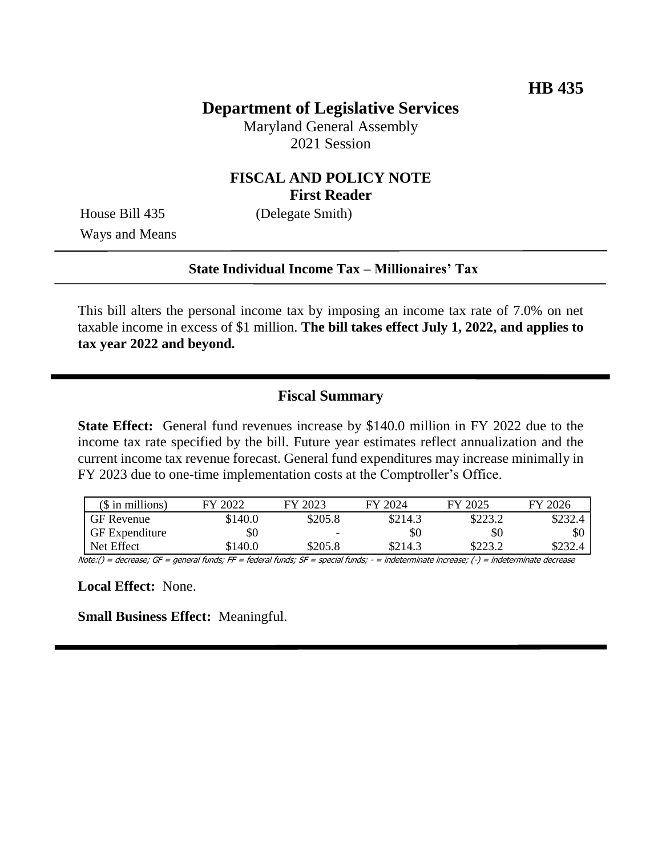# **Department of Legislative Services**

Maryland General Assembly 2021 Session

## **FISCAL AND POLICY NOTE First Reader**

Ways and Means

House Bill 435 (Delegate Smith)

#### **State Individual Income Tax – Millionaires' Tax**

This bill alters the personal income tax by imposing an income tax rate of 7.0% on net taxable income in excess of \$1 million. **The bill takes effect July 1, 2022, and applies to tax year 2022 and beyond.**

## **Fiscal Summary**

**State Effect:** General fund revenues increase by \$140.0 million in FY 2022 due to the income tax rate specified by the bill. Future year estimates reflect annualization and the current income tax revenue forecast. General fund expenditures may increase minimally in FY 2023 due to one-time implementation costs at the Comptroller's Office.

| $($$ in millions)     | FY 2022 | FY 2023 | FY 2024 | FY 2025 | FY 2026 |
|-----------------------|---------|---------|---------|---------|---------|
| <b>GF</b> Revenue     | \$140.0 | \$205.8 | \$214.3 | \$223.2 | \$232.4 |
| <b>GF</b> Expenditure | \$0     | -       | \$0     | \$0     | \$0     |
| Net Effect            | \$140.0 | \$205.8 | \$214.3 | \$223.2 | \$232.4 |

Note:() = decrease; GF = general funds; FF = federal funds; SF = special funds; - = indeterminate increase; (-) = indeterminate decrease

**Local Effect:** None.

**Small Business Effect:** Meaningful.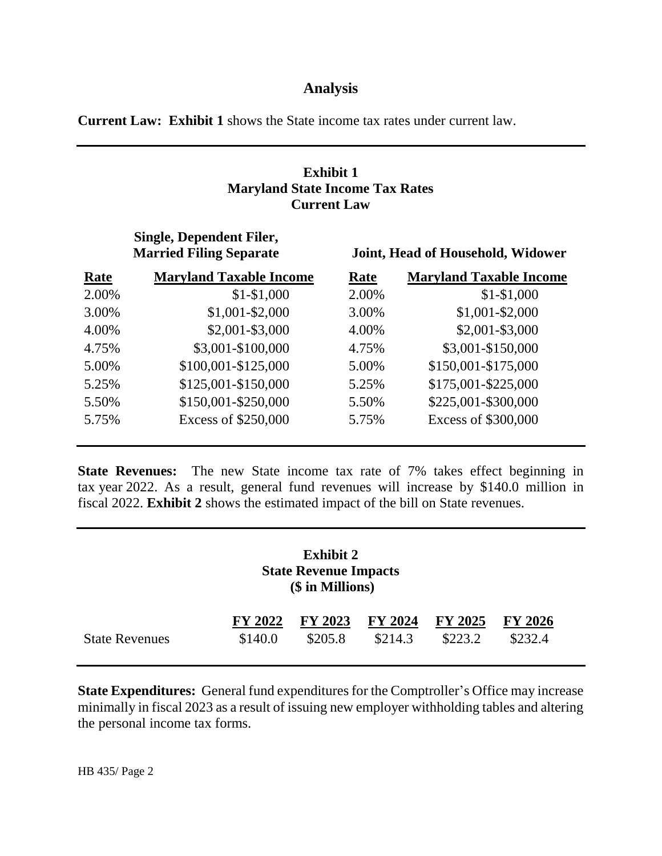### **Analysis**

**Current Law: Exhibit 1** shows the State income tax rates under current law.

### **Exhibit 1 Maryland State Income Tax Rates Current Law**

|             | Single, Dependent Filer,<br><b>Married Filing Separate</b> | Joint, Head of Household, Widower |                                |  |  |
|-------------|------------------------------------------------------------|-----------------------------------|--------------------------------|--|--|
| <b>Rate</b> | <b>Maryland Taxable Income</b>                             | Rate                              | <b>Maryland Taxable Income</b> |  |  |
| 2.00%       | $$1-$1,000$                                                | 2.00%                             | $$1-$1,000$                    |  |  |
| 3.00%       | $$1,001 - $2,000$                                          | 3.00%                             | $$1,001 - $2,000$              |  |  |
| 4.00%       | $$2,001 - $3,000$                                          | 4.00%                             | \$2,001-\$3,000                |  |  |
| 4.75%       | \$3,001-\$100,000                                          | 4.75%                             | \$3,001-\$150,000              |  |  |
| 5.00%       | \$100,001-\$125,000                                        | 5.00%                             | \$150,001-\$175,000            |  |  |
| 5.25%       | \$125,001-\$150,000                                        | 5.25%                             | \$175,001-\$225,000            |  |  |
| 5.50%       | \$150,001-\$250,000                                        | 5.50%                             | \$225,001-\$300,000            |  |  |
| 5.75%       | Excess of \$250,000                                        | 5.75%                             | Excess of \$300,000            |  |  |

**State Revenues:** The new State income tax rate of 7% takes effect beginning in tax year 2022. As a result, general fund revenues will increase by \$140.0 million in fiscal 2022. **Exhibit 2** shows the estimated impact of the bill on State revenues.

| <b>Exhibit 2</b><br><b>State Revenue Impacts</b><br>(\$ in Millions) |                    |                    |                    |                           |                           |  |  |  |  |  |
|----------------------------------------------------------------------|--------------------|--------------------|--------------------|---------------------------|---------------------------|--|--|--|--|--|
| <b>State Revenues</b>                                                | FY 2022<br>\$140.0 | FY 2023<br>\$205.8 | FY 2024<br>\$214.3 | <b>FY 2025</b><br>\$223.2 | <b>FY 2026</b><br>\$232.4 |  |  |  |  |  |

**State Expenditures:** General fund expenditures for the Comptroller's Office may increase minimally in fiscal 2023 as a result of issuing new employer withholding tables and altering the personal income tax forms.